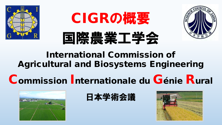





# International Commission of Agricultural and Biosystems Engineering

# Commission Internationale du Génie Rural



# 日本学術会議

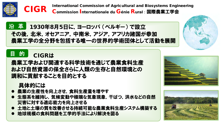

## 沿 革 1930年8月5日に,ヨーロッパ (ベルギー) で設立 その後,北米,オセアニア,中南米,アジア,アフリカ諸国が参加 農業工学の全分野を包括する唯一の世界的学術団体として活動を展開

#### 目 的 CIGRは

農業工学および関連する科学技術を通じて農業食料生産 および自然資源の保全さらに人類の生存と自然環境との 調和に貢献することを目的とする

### 具体的には

- 農業の生産性を向上させ, 食料生産量を増やす
- 生態系を維持し, 気候変動や極端な気象現象, 干ばつ, 洪水などの自然 災害に対する適応能力を向上させる
- 土地と土壌の質を改善させる持続可能な農業食料生産システム構築する
- 地球規模の食料問題を工学的手法により解決を図る



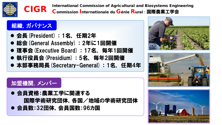

### 組織, ガバナンス

- 会長(President): 1名, 任期2年
- 総会 (General Assembly) : 2年に1回開催
- 理事会(Executive Board): 17名, 每年1回開催
- 執行役員会(Presidium) : 5名,毎年2回開催
- 本部事務局長 (Secretary-General): 1名, 任期4年

# 加盟機関,メンバー

● 会員資格:農業工学に関連する 国際学術研究団体,各国/地域の学術研究団体 ● 会員数:32団体,会員国数:96カ国





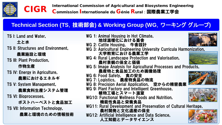

# **Technical Section (TS**,技術部会**) & Working Group (WG**,ワーキング グループ**)**

TS I: Land and Water,

### 土と水

TS II: Structures and Environment,

農業施設と環境

TS III: Plant Production,

#### 作物生産

TS IV: Energy in Agriculture, 農業におけるエネルギ

TS V: System Management,

農業食料生産システム管理

TS VI: Bioprocesses,

ポストハーベストと食品加工

TS VII: Information Technology,

農業と環境のための情報技術

WG 1: Animal Housing in Hot Climate, 地球温暖化における畜舎 WG 2: Cattle Housing, 牛舎設計 WG 3: Agricultural Engineering University Curricula Harmonization, 大学教育における農業工学 WG 4: Rural Landscape Protection and Valorisation, 農村景観の保全と価値 WG 5: Image Analysis for Agricultural Processes and Products, 農産物と食品加工のため画像処理 WG 6: Food Safety, 食の安全 WG 7: Logistics, 農産物食品の物流 WG 8: Precision Aerial Application, 空からの精密農業 WG 9: Plant Factory and Intelligent Greenhouse, 植物工場とスマート温室 WG10: Functional Wellness Foods and Nutrition, 機能性食品と栄養食品 WG11: Rural Development and Preservation of Cultural Heritage, 農村開発と文化遺産の保全 WG12: Artificial Intelligence and Data Science,

人工知能とデータサイエンス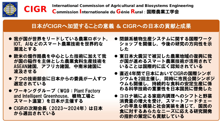

### 日本が**CIGR**へ加盟することの意義 & **CIGR**への日本の貢献と成果

- 我が国が世界をリードしている農業ロボット, IOT, AIなどのスマート農業技術を世界的な 潮流とする
- 欧米の畑作酪農を中心とした技術に加えて我 が国の稲作を主体とした農業食料生産技術を ASEAN諸国,アフリカ諸国,中南米諸国に 波及させる
- 7つの技術部会に日本からの委員が一人ずつ 選定されている
- ワーキンググループ(WG9:Plant Factory and Intelligent Greenhouse,植物工場と スマート温室)を日本が主催する
- CIGRの次期会長(2023~2024年)は日本 から選出されている
- 閉鎖系植物生産システムに関する国際ワーク ショップを開催し,今後の研究の方向性を示 した
- 東日本大震災で被災した農業地域の復興に我 が国が進めるスマート農業技術が活用されて いることは国際的に広く認知されている
- 直近4年間で日本においてCIGRの国際シンポ ジウムを2回主催し,同時に市民公開シンポジ ウムも開催し,持続的な食料の安定生産に係 わる科学技術の重要性を日本国民に啓発した
- コロナ禍による家庭内調理へのシフトと野菜 消費量の増大を受け,スマートフードチェー ンの早急な構築と社会実装を通じて,国民の 食に対するあらたなニーズに応える研究開発 の指針の策定にも貢献している